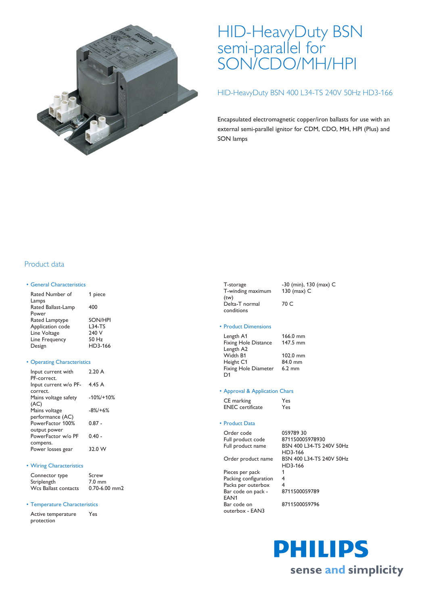

# HID-HeavyDuty BSN semi-parallel for SON/CDO/MH/HPI

### HID-HeavyDuty BSN 400 L34-TS 240V 50Hz HD3-166

Encapsulated electromagnetic copper/iron ballasts for use with an external semi-parallel ignitor for CDM, CDO, MH, HPI (Plus) and SON lamps

# Product data

#### • General Characteristics

| Rated Number of<br>Lamps | 1 piece        |
|--------------------------|----------------|
| Rated Ballast-Lamp       | 400            |
| Power                    |                |
| Rated Lamptype           | <b>SON/HPI</b> |
| Application code         | <b>L34-TS</b>  |
| Line Voltage             | 240 V          |
| Line Frequency           | 50 Hz          |
| Design                   | HD3-166        |
|                          |                |

#### • Operating Characteristics

| Input current with    | 2.20A         |
|-----------------------|---------------|
| PF-correct.           |               |
| Input current w/o PF- | 4.45 A        |
| correct.              |               |
| Mains voltage safety  | $-10\%$ /+10% |
| (AC)                  |               |
| Mains voltage         | $-8\%$ /+6%   |
| performance (AC)      |               |
| PowerFactor 100%      | $0.87 -$      |
| output power          |               |
| PowerFactor w/o PF    | $0.40 -$      |
| compens.              |               |
| Power losses gear     | 32.0 W        |
|                       |               |

#### • Wiring Characteristics

| Connector type       | Screw             |
|----------------------|-------------------|
| Striplength          | $7.0 \text{ mm}$  |
| Wcs Ballast contacts | $0.70 - 6.00$ mm2 |

#### • Temperature Characteristics

Active temperature protection Yes

| T-storage         |  |
|-------------------|--|
| T-winding maximum |  |
| (tw)              |  |
| Delta-T normal    |  |
| conditions        |  |

-30 (min), 130 (max) C 130 (max) C 70 C

#### • Product Dimensions

| Length A1<br><b>Fixing Hole Distance</b> | 166.0 mm<br>147.5 mm |
|------------------------------------------|----------------------|
| Length A2                                |                      |
| Width B1                                 | 102.0 mm             |
| Height C1                                | 84.0 mm              |
| Fixing Hole Diameter                     | $6.2 \text{ mm}$     |
| D <sub>1</sub>                           |                      |

#### • Approval & Application Chars

| CE marking              | Yes |
|-------------------------|-----|
| <b>ENEC</b> certificate | Yes |

#### • Product Data

EAN1

Bar code on outerbox - EAN3

| Order code<br>Full product code<br>Full product name |  |  |
|------------------------------------------------------|--|--|
| Order product name                                   |  |  |
| Pieces per pack                                      |  |  |

Packing configuration 4 Packs per outerbox Bar code on pack -

059789 30 871150005978930 BSN 400 L34-TS 240V 50Hz HD3-166 BSN 400 L34-TS 240V 50Hz HD3-166 8711500059789

8711500059796